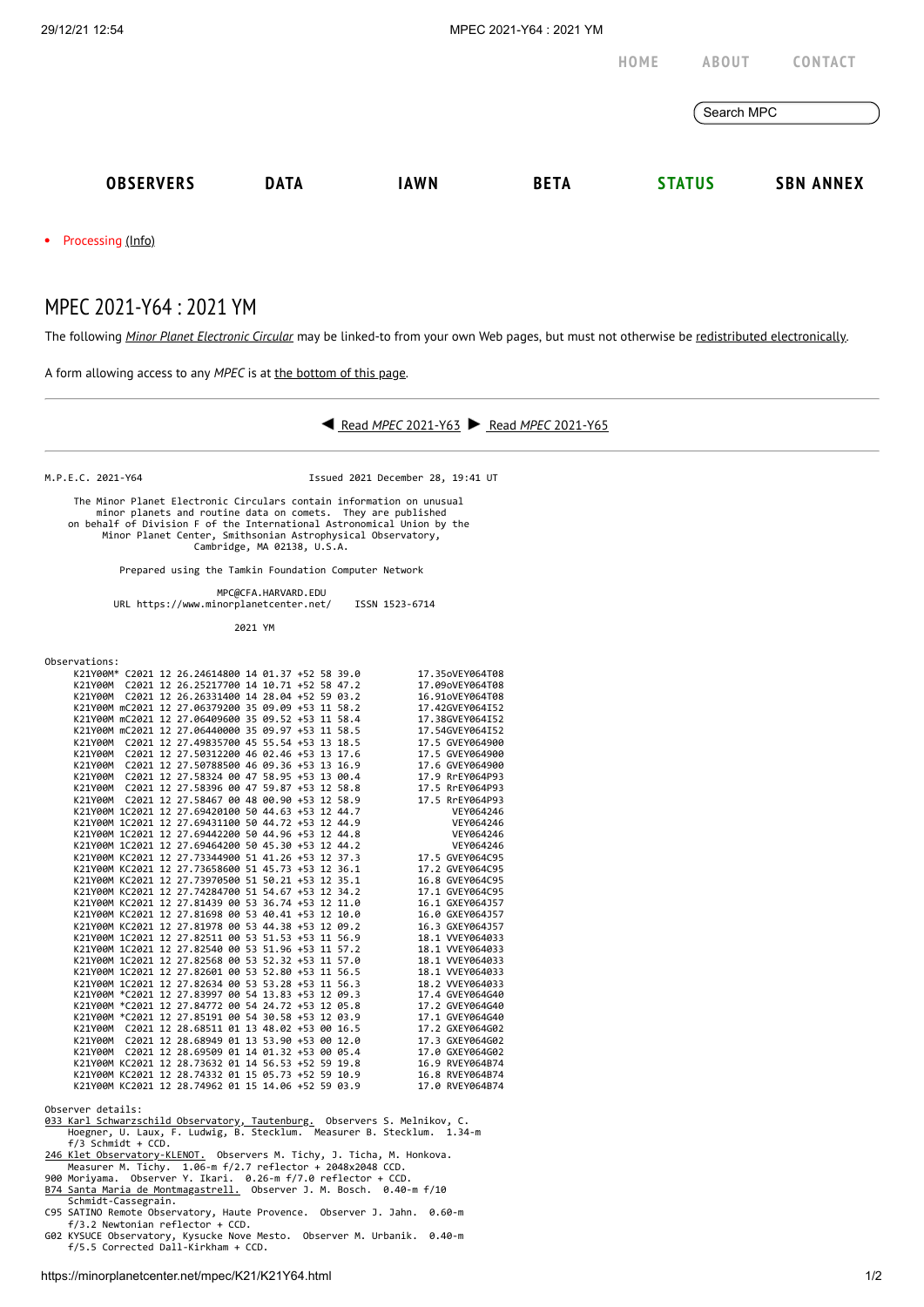| <b>OBSERVERS</b> | <b>DATA</b> | <b>IAWN</b> | <b>BETA</b> |      | <b>STATUS</b> | <b>SBN ANNEX</b> |
|------------------|-------------|-------------|-------------|------|---------------|------------------|
|                  |             |             |             |      | Search MPC    |                  |
|                  |             |             |             | HOME | <b>ABOUT</b>  | CONTACT          |

## MPEC 2021-Y64 : 2021 YM

The following *Minor Planet [Electronic](https://minorplanetcenter.net/iau/services/MPEC.html) Circular* may be linked-to from your own Web pages, but must not otherwise be redistributed [electronically](https://minorplanetcenter.net/iau/WWWPolicy.html).

A form allowing access to any *MPEC* is at the [bottom](https://minorplanetcenter.net/mpec/K19/K21Y64.html#form) of this page.



M.P.E.C. 2021-Y64 Issued 2021 December 28, 19:41 UT

 The Minor Planet Electronic Circulars contain information on unusual minor planets and routine data on comets. They are published on behalf of Division F of the International Astronomical Union by the Minor Planet Center, Smithsonian Astrophysical Observatory, Cambridge, MA 02138, U.S.A.

Prepared using the Tamkin Foundation Computer Network

 MPC@CFA.HARVARD.EDU URL https://www.minorplanetcenter.net/ ISSN 1523-6714

2021 YM

| Observations: |
|---------------|
| K21YAAM*      |

|         |  | K21Y00M* C2021 12 26.24614800 14 01.37 +52 58 39.0 |  |  |  | 17.35oVEY064T08 |  |
|---------|--|----------------------------------------------------|--|--|--|-----------------|--|
|         |  | K21Y00M C2021 12 26.25217700 14 10.71 +52 58 47.2  |  |  |  | 17.09oVEY064T08 |  |
|         |  | K21Y00M C2021 12 26.26331400 14 28.04 +52 59 03.2  |  |  |  | 16.91oVEY064T08 |  |
|         |  | K21Y00M mC2021 12 27.06379200 35 09.09 +53 11 58.2 |  |  |  | 17.42GVEY064I52 |  |
|         |  | K21Y00M mC2021 12 27.06409600 35 09.52 +53 11 58.4 |  |  |  | 17.38GVEY064I52 |  |
|         |  | K21Y00M mC2021 12 27.06440000 35 09.97 +53 11 58.5 |  |  |  | 17.54GVEY064I52 |  |
|         |  | K21Y00M C2021 12 27.49835700 45 55.54 +53 13 18.5  |  |  |  | 17.5 GVEY064900 |  |
|         |  | K21Y00M C2021 12 27.50312200 46 02.46 +53 13 17.6  |  |  |  | 17.5 GVEY064900 |  |
|         |  | K21Y00M C2021 12 27.50788500 46 09.36 +53 13 16.9  |  |  |  | 17.6 GVEY064900 |  |
|         |  | K21Y00M C2021 12 27.58324 00 47 58.95 +53 13 00.4  |  |  |  | 17.9 RrEY064P93 |  |
|         |  | K21Y00M C2021 12 27.58396 00 47 59.87 +53 12 58.8  |  |  |  | 17.5 RrEY064P93 |  |
| K21Y00M |  | C2021 12 27.58467 00 48 00.90 +53 12 58.9          |  |  |  | 17.5 RrEY064P93 |  |
|         |  | K21Y00M 1C2021 12 27.69420100 50 44.63 +53 12 44.7 |  |  |  | VEY064246       |  |
|         |  | K21Y00M 1C2021 12 27.69431100 50 44.72 +53 12 44.9 |  |  |  | VEY064246       |  |
|         |  | K21Y00M 1C2021 12 27.69442200 50 44.96 +53 12 44.8 |  |  |  | VEY064246       |  |
|         |  | K21Y00M 1C2021 12 27.69464200 50 45.30 +53 12 44.2 |  |  |  | VEY064246       |  |
|         |  | K21Y00M KC2021 12 27.73344900 51 41.26 +53 12 37.3 |  |  |  | 17.5 GVEY064C95 |  |
|         |  | K21Y00M KC2021 12 27.73658600 51 45.73 +53 12 36.1 |  |  |  | 17.2 GVEY064C95 |  |
|         |  | K21Y00M KC2021 12 27.73970500 51 50.21 +53 12 35.1 |  |  |  | 16.8 GVEY064C95 |  |
|         |  | K21Y00M KC2021 12 27.74284700 51 54.67 +53 12 34.2 |  |  |  | 17.1 GVEY064C95 |  |
|         |  | K21Y00M KC2021 12 27.81439 00 53 36.74 +53 12 11.0 |  |  |  | 16.1 GXEY064J57 |  |
|         |  | K21Y00M KC2021 12 27.81698 00 53 40.41 +53 12 10.0 |  |  |  | 16.0 GXEY064J57 |  |
|         |  | K21Y00M KC2021 12 27.81978 00 53 44.38 +53 12 09.2 |  |  |  | 16.3 GXEY064J57 |  |
|         |  | K21Y00M 1C2021 12 27.82511 00 53 51.53 +53 11 56.9 |  |  |  | 18.1 VVEY064033 |  |
|         |  | K21Y00M 1C2021 12 27.82540 00 53 51.96 +53 11 57.2 |  |  |  | 18.1 VVEY064033 |  |
|         |  | K21Y00M 1C2021 12 27.82568 00 53 52.32 +53 11 57.0 |  |  |  | 18.1 WEY064033  |  |
|         |  | K21Y00M 1C2021 12 27.82601 00 53 52.80 +53 11 56.5 |  |  |  | 18.1 VVEY064033 |  |
|         |  | K21Y00M 1C2021 12 27.82634 00 53 53.28 +53 11 56.3 |  |  |  | 18.2 VVEY064033 |  |
|         |  | K21Y00M *C2021 12 27.83997 00 54 13.83 +53 12 09.3 |  |  |  | 17.4 GVEY064G40 |  |
|         |  | K21Y00M *C2021 12 27.84772 00 54 24.72 +53 12 05.8 |  |  |  | 17.2 GVEY064G40 |  |
|         |  | K21Y00M *C2021 12 27.85191 00 54 30.58 +53 12 03.9 |  |  |  | 17.1 GVEY064G40 |  |
|         |  | K21Y00M C2021 12 28.68511 01 13 48.02 +53 00 16.5  |  |  |  | 17.2 GXEY064G02 |  |
|         |  | K21Y00M C2021 12 28.68949 01 13 53.90 +53 00 12.0  |  |  |  | 17.3 GXEY064G02 |  |
|         |  | K21Y00M C2021 12 28.69509 01 14 01.32 +53 00 05.4  |  |  |  | 17.0 GXEY064G02 |  |
|         |  | K21Y00M KC2021 12 28.73632 01 14 56.53 +52 59 19.8 |  |  |  | 16.9 RVEY064B74 |  |
|         |  | K21Y00M KC2021 12 28.74332 01 15 05.73 +52 59 10.9 |  |  |  | 16.8 RVEY064B74 |  |
|         |  | K21Y00M KC2021 12 28.74962 01 15 14.06 +52 59 03.9 |  |  |  | 17.0 RVEY064B74 |  |

- Observer details:<br><u>033 Karl Schwarzschild Observatory, Tautenburg.</u> Observers S. Melnikov, C.<br>Hoegner, U. Laux, F. Ludwig, B. Stecklum. Measurer B. Stecklum. 1.34-m<br>f/3 Schmidt + CCD.<br>[246 Klet Observatory-KLENOT.](http://www.klet.org/) Observers
- 
- Measurer M. Tichy. 1.06-m f/2.7 reflector + 2048x2048 CCD.<br>900 Moriyama. Observer Y. Ikari. 0.26-m f/7.0 reflector + CCD.<br><u>B74 Santa Maria de Montmagastrell.</u> Observer J. M. Bosch. 0.40-m f/10
- Schmidt-Cassegrain.
- C95 SATINO Remote Observatory, Haute Provence. Observer J. Jahn. 0.60-m f/3.2 Newtonian reflector + CCD.
- G02 KYSUCE Observatory, Kysucke Nove Mesto. Observer M. Urbanik. 0.40-m f/5.5 Corrected Dall-Kirkham + CCD.